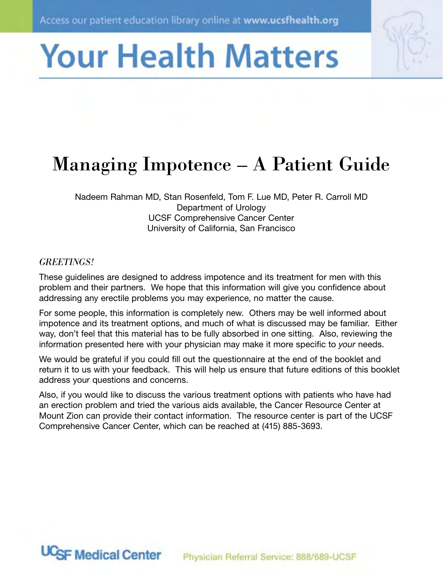# **Your Health Matters**

# **Managing Impotence – A Patient Guide**

Nadeem Rahman MD, Stan Rosenfeld, Tom F. Lue MD, Peter R. Carroll MD Department of Urology **UCSF Comprehensive Cancer Center** University of California, San Francisco

# **GREETINGS!**

**UCSF Medical Center** 

These guidelines are designed to address impotence and its treatment for men with this problem and their partners. We hope that this information will give you confidence about addressing any erectile problems you may experience, no matter the cause.

For some people, this information is completely new. Others may be well informed about impotence and its treatment options, and much of what is discussed may be familiar. Either way, don't feel that this material has to be fully absorbed in one sitting. Also, reviewing the information presented here with your physician may make it more specific to your needs.

We would be grateful if you could fill out the questionnaire at the end of the booklet and return it to us with your feedback. This will help us ensure that future editions of this booklet address your questions and concerns.

Also, if you would like to discuss the various treatment options with patients who have had an erection problem and tried the various aids available, the Cancer Resource Center at Mount Zion can provide their contact information. The resource center is part of the UCSF Comprehensive Cancer Center, which can be reached at (415) 885-3693.

Physician Referral Service: 888/689-UCSF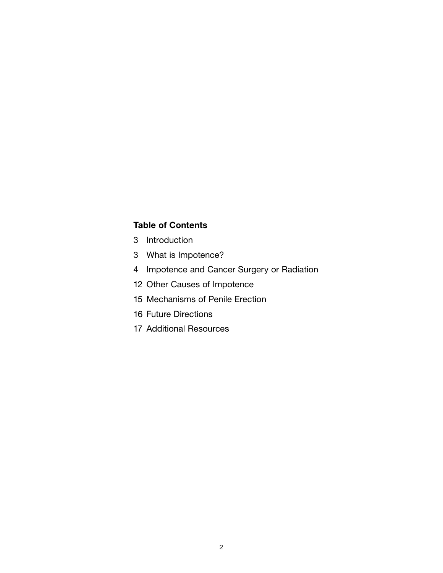#### **Table of Contents**

- 3 Introduction
- 3 What is Impotence?
- 4 Impotence and Cancer Surgery or Radiation
- 12 Other Causes of Impotence
- 15 Mechanisms of Penile Erection
- 16 Future Directions
- 17 Additional Resources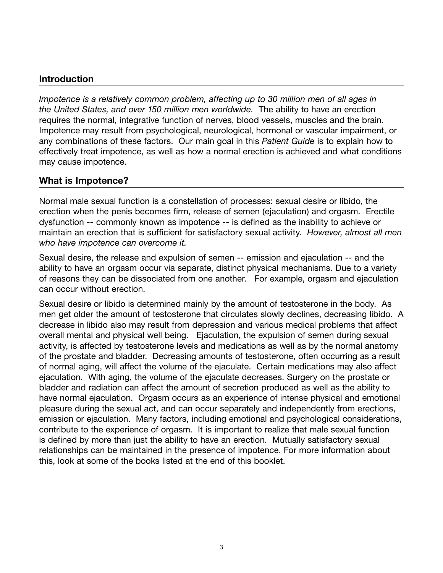# **Introduction**

*Impotence is a relatively common problem, affecting up to 30 million men of all ages in the United States, and over 150 million men worldwide.* The ability to have an erection requires the normal, integrative function of nerves, blood vessels, muscles and the brain. Impotence may result from psychological, neurological, hormonal or vascular impairment, or any combinations of these factors. Our main goal in this *Patient Guide* is to explain how to effectively treat impotence, as well as how a normal erection is achieved and what conditions may cause impotence.

# **What is Impotence?**

Normal male sexual function is a constellation of processes: sexual desire or libido, the erection when the penis becomes firm, release of semen (ejaculation) and orgasm. Erectile dysfunction -- commonly known as impotence -- is defined as the inability to achieve or maintain an erection that is sufficient for satisfactory sexual activity. *However, almost all men who have impotence can overcome it.* 

Sexual desire, the release and expulsion of semen -- emission and ejaculation -- and the ability to have an orgasm occur via separate, distinct physical mechanisms. Due to a variety of reasons they can be dissociated from one another. For example, orgasm and ejaculation can occur without erection.

Sexual desire or libido is determined mainly by the amount of testosterone in the body. As men get older the amount of testosterone that circulates slowly declines, decreasing libido. A decrease in libido also may result from depression and various medical problems that affect overall mental and physical well being. Ejaculation, the expulsion of semen during sexual activity, is affected by testosterone levels and medications as well as by the normal anatomy of the prostate and bladder. Decreasing amounts of testosterone, often occurring as a result of normal aging, will affect the volume of the ejaculate. Certain medications may also affect ejaculation. With aging, the volume of the ejaculate decreases. Surgery on the prostate or bladder and radiation can affect the amount of secretion produced as well as the ability to have normal ejaculation. Orgasm occurs as an experience of intense physical and emotional pleasure during the sexual act, and can occur separately and independently from erections, emission or ejaculation. Many factors, including emotional and psychological considerations, contribute to the experience of orgasm. It is important to realize that male sexual function is defined by more than just the ability to have an erection. Mutually satisfactory sexual relationships can be maintained in the presence of impotence. For more information about this, look at some of the books listed at the end of this booklet.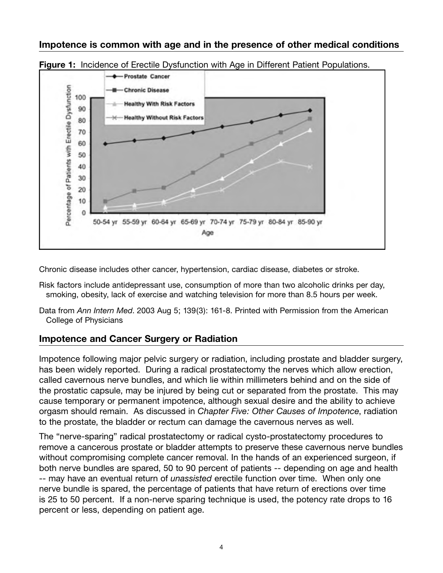### **Impotence is common with age and in the presence of other medical conditions**





Chronic disease includes other cancer, hypertension, cardiac disease, diabetes or stroke.

- Risk factors include antidepressant use, consumption of more than two alcoholic drinks per day, smoking, obesity, lack of exercise and watching television for more than 8.5 hours per week.
- Data from *Ann Intern Med*. 2003 Aug 5; 139(3): 161-8. Printed with Permission from the American College of Physicians

# **Impotence and Cancer Surgery or Radiation**

Impotence following major pelvic surgery or radiation, including prostate and bladder surgery, has been widely reported. During a radical prostatectomy the nerves which allow erection, called cavernous nerve bundles, and which lie within millimeters behind and on the side of the prostatic capsule, may be injured by being cut or separated from the prostate. This may cause temporary or permanent impotence, although sexual desire and the ability to achieve orgasm should remain. As discussed in *Chapter Five: Other Causes of Impotence*, radiation to the prostate, the bladder or rectum can damage the cavernous nerves as well.

The "nerve-sparing" radical prostatectomy or radical cysto-prostatectomy procedures to remove a cancerous prostate or bladder attempts to preserve these cavernous nerve bundles without compromising complete cancer removal. In the hands of an experienced surgeon, if both nerve bundles are spared, 50 to 90 percent of patients -- depending on age and health -- may have an eventual return of *unassisted* erectile function over time. When only one nerve bundle is spared, the percentage of patients that have return of erections over time is 25 to 50 percent. If a non-nerve sparing technique is used, the potency rate drops to 16 percent or less, depending on patient age.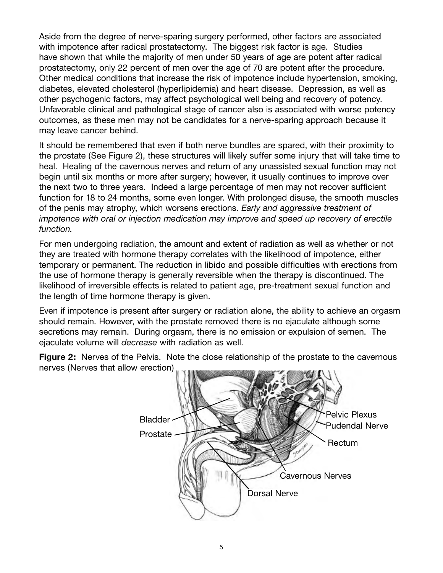Aside from the degree of nerve-sparing surgery performed, other factors are associated with impotence after radical prostatectomy. The biggest risk factor is age. Studies have shown that while the majority of men under 50 years of age are potent after radical prostatectomy, only 22 percent of men over the age of 70 are potent after the procedure. Other medical conditions that increase the risk of impotence include hypertension, smoking, diabetes, elevated cholesterol (hyperlipidemia) and heart disease. Depression, as well as other psychogenic factors, may affect psychological well being and recovery of potency. Unfavorable clinical and pathological stage of cancer also is associated with worse potency outcomes, as these men may not be candidates for a nerve-sparing approach because it may leave cancer behind.

It should be remembered that even if both nerve bundles are spared, with their proximity to the prostate (See Figure 2), these structures will likely suffer some injury that will take time to heal. Healing of the cavernous nerves and return of any unassisted sexual function may not begin until six months or more after surgery; however, it usually continues to improve over the next two to three years. Indeed a large percentage of men may not recover sufficient function for 18 to 24 months, some even longer. With prolonged disuse, the smooth muscles of the penis may atrophy, which worsens erections. *Early and aggressive treatment of impotence with oral or injection medication may improve and speed up recovery of erectile function.*

For men undergoing radiation, the amount and extent of radiation as well as whether or not they are treated with hormone therapy correlates with the likelihood of impotence, either temporary or permanent. The reduction in libido and possible difficulties with erections from the use of hormone therapy is generally reversible when the therapy is discontinued. The likelihood of irreversible effects is related to patient age, pre-treatment sexual function and the length of time hormone therapy is given.

Even if impotence is present after surgery or radiation alone, the ability to achieve an orgasm should remain. However, with the prostate removed there is no ejaculate although some secretions may remain. During orgasm, there is no emission or expulsion of semen. The ejaculate volume will *decrease* with radiation as well.

**Figure 2:** Nerves of the Pelvis. Note the close relationship of the prostate to the cavernous nerves (Nerves that allow erection)

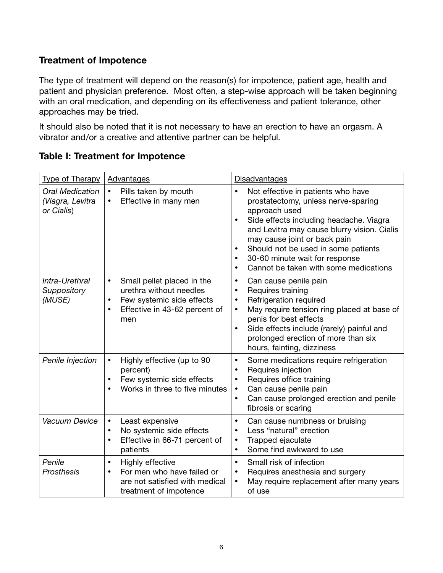# **Treatment of Impotence**

The type of treatment will depend on the reason(s) for impotence, patient age, health and patient and physician preference. Most often, a step-wise approach will be taken beginning with an oral medication, and depending on its effectiveness and patient tolerance, other approaches may be tried.

It should also be noted that it is not necessary to have an erection to have an orgasm. A vibrator and/or a creative and attentive partner can be helpful.

| <b>Type of Therapy</b>                                   | Advantages                                                                                                                                                        | Disadvantages                                                                                                                                                                                                                                                                                                                                                                                           |  |  |  |
|----------------------------------------------------------|-------------------------------------------------------------------------------------------------------------------------------------------------------------------|---------------------------------------------------------------------------------------------------------------------------------------------------------------------------------------------------------------------------------------------------------------------------------------------------------------------------------------------------------------------------------------------------------|--|--|--|
| <b>Oral Medication</b><br>(Viagra, Levitra<br>or Cialis) | Pills taken by mouth<br>$\bullet$<br>Effective in many men<br>$\bullet$                                                                                           | Not effective in patients who have<br>$\bullet$<br>prostatectomy, unless nerve-sparing<br>approach used<br>Side effects including headache. Viagra<br>$\bullet$<br>and Levitra may cause blurry vision. Cialis<br>may cause joint or back pain<br>Should not be used in some patients<br>$\bullet$<br>30-60 minute wait for response<br>$\bullet$<br>Cannot be taken with some medications<br>$\bullet$ |  |  |  |
| Intra-Urethral<br>Suppository<br>(MUSE)                  | Small pellet placed in the<br>$\bullet$<br>urethra without needles<br>Few systemic side effects<br>$\bullet$<br>Effective in 43-62 percent of<br>$\bullet$<br>men | Can cause penile pain<br>$\bullet$<br>Requires training<br>$\bullet$<br>Refrigeration required<br>$\bullet$<br>May require tension ring placed at base of<br>$\bullet$<br>penis for best effects<br>Side effects include (rarely) painful and<br>$\bullet$<br>prolonged erection of more than six<br>hours, fainting, dizziness                                                                         |  |  |  |
| Penile Injection                                         | Highly effective (up to 90<br>$\bullet$<br>percent)<br>Few systemic side effects<br>$\bullet$<br>Works in three to five minutes                                   | Some medications require refrigeration<br>$\bullet$<br>Requires injection<br>$\bullet$<br>Requires office training<br>$\bullet$<br>Can cause penile pain<br>$\bullet$<br>Can cause prolonged erection and penile<br>$\bullet$<br>fibrosis or scaring                                                                                                                                                    |  |  |  |
| Vacuum Device                                            | Least expensive<br>$\bullet$<br>No systemic side effects<br>$\bullet$<br>Effective in 66-71 percent of<br>$\bullet$<br>patients                                   | Can cause numbness or bruising<br>$\bullet$<br>Less "natural" erection<br>$\bullet$<br>Trapped ejaculate<br>$\bullet$<br>Some find awkward to use<br>$\bullet$                                                                                                                                                                                                                                          |  |  |  |
| Penile<br>Prosthesis                                     | Highly effective<br>$\bullet$<br>For men who have failed or<br>$\bullet$<br>are not satisfied with medical<br>treatment of impotence                              | Small risk of infection<br>$\bullet$<br>Requires anesthesia and surgery<br>$\bullet$<br>May require replacement after many years<br>$\bullet$<br>of use                                                                                                                                                                                                                                                 |  |  |  |

# **Table I: Treatment for Impotence**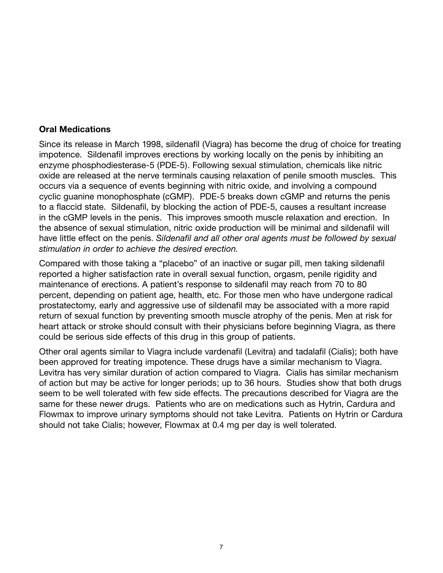#### **Oral Medications**

Since its release in March 1998, sildenafil (Viagra) has become the drug of choice for treating impotence. Sildenafil improves erections by working locally on the penis by inhibiting an enzyme phosphodiesterase-5 (PDE-5). Following sexual stimulation, chemicals like nitric oxide are released at the nerve terminals causing relaxation of penile smooth muscles. This occurs via a sequence of events beginning with nitric oxide, and involving a compound cyclic guanine monophosphate (cGMP). PDE-5 breaks down cGMP and returns the penis to a flaccid state. Sildenafil, by blocking the action of PDE-5, causes a resultant increase in the cGMP levels in the penis. This improves smooth muscle relaxation and erection. In the absence of sexual stimulation, nitric oxide production will be minimal and sildenafil will have little effect on the penis. *Sildenafil and all other oral agents must be followed by sexual stimulation in order to achieve the desired erection.*

Compared with those taking a "placebo" of an inactive or sugar pill, men taking sildenafil reported a higher satisfaction rate in overall sexual function, orgasm, penile rigidity and maintenance of erections. A patient's response to sildenafil may reach from 70 to 80 percent, depending on patient age, health, etc. For those men who have undergone radical prostatectomy, early and aggressive use of sildenafil may be associated with a more rapid return of sexual function by preventing smooth muscle atrophy of the penis. Men at risk for heart attack or stroke should consult with their physicians before beginning Viagra, as there could be serious side effects of this drug in this group of patients.

Other oral agents similar to Viagra include vardenafil (Levitra) and tadalafil (Cialis); both have been approved for treating impotence. These drugs have a similar mechanism to Viagra. Levitra has very similar duration of action compared to Viagra. Cialis has similar mechanism of action but may be active for longer periods; up to 36 hours. Studies show that both drugs seem to be well tolerated with few side effects. The precautions described for Viagra are the same for these newer drugs. Patients who are on medications such as Hytrin, Cardura and Flowmax to improve urinary symptoms should not take Levitra. Patients on Hytrin or Cardura should not take Cialis; however, Flowmax at 0.4 mg per day is well tolerated.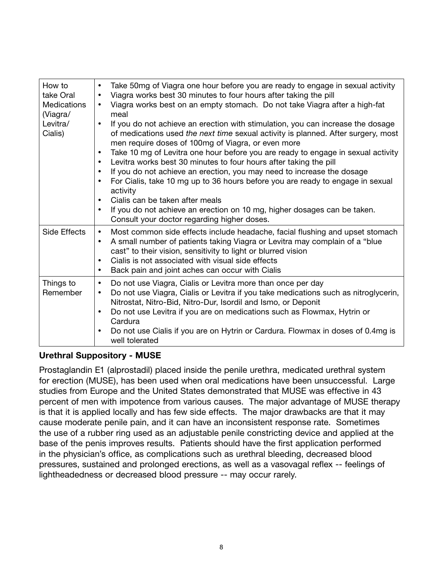| How to<br>take Oral<br><b>Medications</b><br>(Viagra/<br>Levitra/<br>Cialis) | Take 50mg of Viagra one hour before you are ready to engage in sexual activity<br>$\bullet$<br>Viagra works best 30 minutes to four hours after taking the pill<br>$\bullet$<br>Viagra works best on an empty stomach. Do not take Viagra after a high-fat<br>$\bullet$<br>meal<br>If you do not achieve an erection with stimulation, you can increase the dosage<br>$\bullet$<br>of medications used the next time sexual activity is planned. After surgery, most<br>men require doses of 100mg of Viagra, or even more<br>Take 10 mg of Levitra one hour before you are ready to engage in sexual activity<br>$\bullet$<br>Levitra works best 30 minutes to four hours after taking the pill<br>$\bullet$<br>If you do not achieve an erection, you may need to increase the dosage<br>$\bullet$<br>For Cialis, take 10 mg up to 36 hours before you are ready to engage in sexual<br>$\bullet$<br>activity<br>Cialis can be taken after meals<br>$\bullet$<br>If you do not achieve an erection on 10 mg, higher dosages can be taken.<br>$\bullet$<br>Consult your doctor regarding higher doses. |
|------------------------------------------------------------------------------|---------------------------------------------------------------------------------------------------------------------------------------------------------------------------------------------------------------------------------------------------------------------------------------------------------------------------------------------------------------------------------------------------------------------------------------------------------------------------------------------------------------------------------------------------------------------------------------------------------------------------------------------------------------------------------------------------------------------------------------------------------------------------------------------------------------------------------------------------------------------------------------------------------------------------------------------------------------------------------------------------------------------------------------------------------------------------------------------------------|
| Side Effects                                                                 | Most common side effects include headache, facial flushing and upset stomach<br>$\bullet$<br>A small number of patients taking Viagra or Levitra may complain of a "blue"<br>$\bullet$<br>cast" to their vision, sensitivity to light or blurred vision<br>Cialis is not associated with visual side effects<br>$\bullet$<br>Back pain and joint aches can occur with Cialis<br>$\bullet$                                                                                                                                                                                                                                                                                                                                                                                                                                                                                                                                                                                                                                                                                                               |
| Things to<br>Remember                                                        | Do not use Viagra, Cialis or Levitra more than once per day<br>$\bullet$<br>Do not use Viagra, Cialis or Levitra if you take medications such as nitroglycerin,<br>$\bullet$<br>Nitrostat, Nitro-Bid, Nitro-Dur, Isordil and Ismo, or Deponit<br>Do not use Levitra if you are on medications such as Flowmax, Hytrin or<br>$\bullet$<br>Cardura<br>Do not use Cialis if you are on Hytrin or Cardura. Flowmax in doses of 0.4mg is<br>$\bullet$<br>well tolerated                                                                                                                                                                                                                                                                                                                                                                                                                                                                                                                                                                                                                                      |

# **Urethral Suppository - MUSE**

Prostaglandin E1 (alprostadil) placed inside the penile urethra, medicated urethral system for erection (MUSE), has been used when oral medications have been unsuccessful. Large studies from Europe and the United States demonstrated that MUSE was effective in 43 percent of men with impotence from various causes. The major advantage of MUSE therapy is that it is applied locally and has few side effects. The major drawbacks are that it may cause moderate penile pain, and it can have an inconsistent response rate. Sometimes the use of a rubber ring used as an adjustable penile constricting device and applied at the base of the penis improves results. Patients should have the first application performed in the physician's office, as complications such as urethral bleeding, decreased blood pressures, sustained and prolonged erections, as well as a vasovagal reflex -- feelings of lightheadedness or decreased blood pressure -- may occur rarely.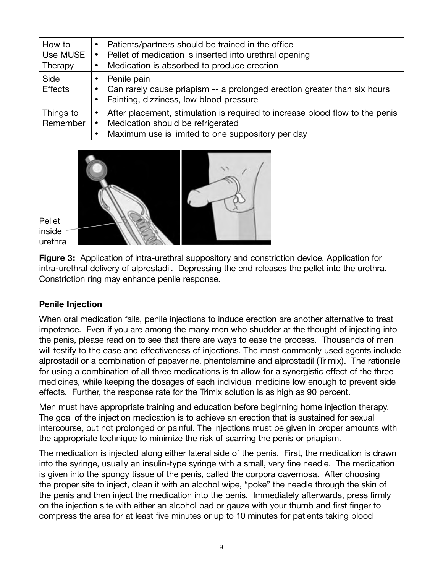| How to<br>Use MUSE<br>Therapy | Patients/partners should be trained in the office<br>Pellet of medication is inserted into urethral opening<br>Medication is absorbed to produce erection                                        |
|-------------------------------|--------------------------------------------------------------------------------------------------------------------------------------------------------------------------------------------------|
| Side<br><b>Effects</b>        | Penile pain<br>Can rarely cause priapism -- a prolonged erection greater than six hours<br>Fainting, dizziness, low blood pressure<br>$\bullet$                                                  |
| Things to<br>Remember         | After placement, stimulation is required to increase blood flow to the penis<br>$\bullet$<br>Medication should be refrigerated<br>$\bullet$<br>Maximum use is limited to one suppository per day |



Pellet inside urethra

**Figure 3:** Application of intra-urethral suppository and constriction device. Application for intra-urethral delivery of alprostadil. Depressing the end releases the pellet into the urethra. Constriction ring may enhance penile response.

# **Penile Injection**

When oral medication fails, penile injections to induce erection are another alternative to treat impotence. Even if you are among the many men who shudder at the thought of injecting into the penis, please read on to see that there are ways to ease the process. Thousands of men will testify to the ease and effectiveness of injections. The most commonly used agents include alprostadil or a combination of papaverine, phentolamine and alprostadil (Trimix). The rationale for using a combination of all three medications is to allow for a synergistic effect of the three medicines, while keeping the dosages of each individual medicine low enough to prevent side effects. Further, the response rate for the Trimix solution is as high as 90 percent.

Men must have appropriate training and education before beginning home injection therapy. The goal of the injection medication is to achieve an erection that is sustained for sexual intercourse, but not prolonged or painful. The injections must be given in proper amounts with the appropriate technique to minimize the risk of scarring the penis or priapism.

The medication is injected along either lateral side of the penis. First, the medication is drawn into the syringe, usually an insulin-type syringe with a small, very fine needle. The medication is given into the spongy tissue of the penis, called the corpora cavernosa. After choosing the proper site to inject, clean it with an alcohol wipe, "poke" the needle through the skin of the penis and then inject the medication into the penis. Immediately afterwards, press firmly on the injection site with either an alcohol pad or gauze with your thumb and first finger to compress the area for at least five minutes or up to 10 minutes for patients taking blood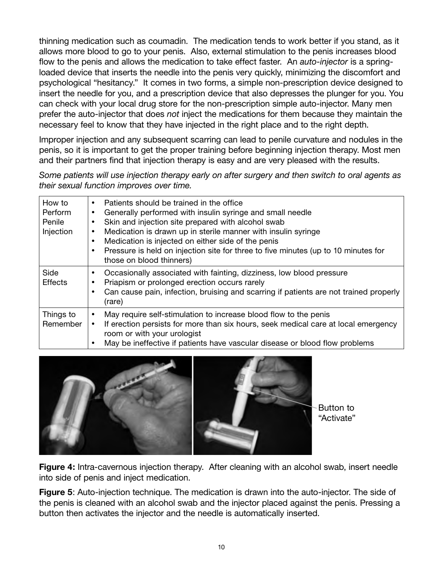thinning medication such as coumadin. The medication tends to work better if you stand, as it allows more blood to go to your penis. Also, external stimulation to the penis increases blood flow to the penis and allows the medication to take effect faster. An *auto-injector* is a springloaded device that inserts the needle into the penis very quickly, minimizing the discomfort and psychological "hesitancy." It comes in two forms, a simple non-prescription device designed to insert the needle for you, and a prescription device that also depresses the plunger for you. You can check with your local drug store for the non-prescription simple auto-injector. Many men prefer the auto-injector that does *not* inject the medications for them because they maintain the necessary feel to know that they have injected in the right place and to the right depth.

Improper injection and any subsequent scarring can lead to penile curvature and nodules in the penis, so it is important to get the proper training before beginning injection therapy. Most men and their partners find that injection therapy is easy and are very pleased with the results.

*Some patients will use injection therapy early on after surgery and then switch to oral agents as their sexual function improves over time.*

| How to<br>Perform<br>Penile<br>Injection | Patients should be trained in the office<br>٠<br>Generally performed with insulin syringe and small needle<br>٠<br>Skin and injection site prepared with alcohol swab<br>Medication is drawn up in sterile manner with insulin syringe<br>Medication is injected on either side of the penis<br>Pressure is held on injection site for three to five minutes (up to 10 minutes for<br>those on blood thinners) |
|------------------------------------------|----------------------------------------------------------------------------------------------------------------------------------------------------------------------------------------------------------------------------------------------------------------------------------------------------------------------------------------------------------------------------------------------------------------|
| Side<br><b>Effects</b>                   | Occasionally associated with fainting, dizziness, low blood pressure<br>Priapism or prolonged erection occurs rarely<br>Can cause pain, infection, bruising and scarring if patients are not trained properly<br>(rare)                                                                                                                                                                                        |
| Things to<br>Remember                    | May require self-stimulation to increase blood flow to the penis<br>If erection persists for more than six hours, seek medical care at local emergency<br>٠<br>room or with your urologist<br>May be ineffective if patients have vascular disease or blood flow problems                                                                                                                                      |



Button to "Activate"

**Figure 4:** Intra-cavernous injection therapy. After cleaning with an alcohol swab, insert needle into side of penis and inject medication.

**Figure 5**: Auto-injection technique. The medication is drawn into the auto-injector. The side of the penis is cleaned with an alcohol swab and the injector placed against the penis. Pressing a button then activates the injector and the needle is automatically inserted.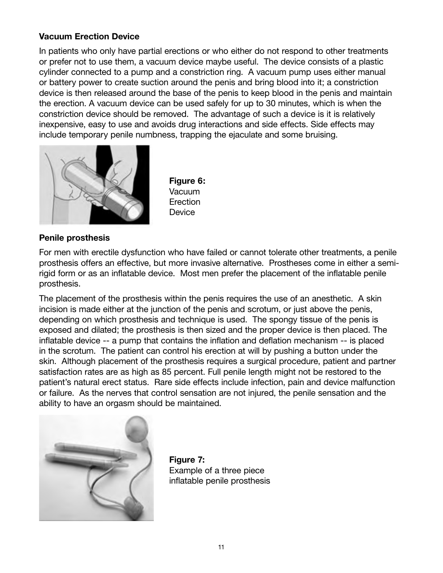#### **Vacuum Erection Device**

In patients who only have partial erections or who either do not respond to other treatments or prefer not to use them, a vacuum device maybe useful. The device consists of a plastic cylinder connected to a pump and a constriction ring. A vacuum pump uses either manual or battery power to create suction around the penis and bring blood into it; a constriction device is then released around the base of the penis to keep blood in the penis and maintain the erection. A vacuum device can be used safely for up to 30 minutes, which is when the constriction device should be removed. The advantage of such a device is it is relatively inexpensive, easy to use and avoids drug interactions and side effects. Side effects may include temporary penile numbness, trapping the ejaculate and some bruising.



 **Figure 6:** Vacuum **Erection Device** 

#### **Penile prosthesis**

For men with erectile dysfunction who have failed or cannot tolerate other treatments, a penile prosthesis offers an effective, but more invasive alternative. Prostheses come in either a semirigid form or as an inflatable device. Most men prefer the placement of the inflatable penile prosthesis.

The placement of the prosthesis within the penis requires the use of an anesthetic. A skin incision is made either at the junction of the penis and scrotum, or just above the penis, depending on which prosthesis and technique is used. The spongy tissue of the penis is exposed and dilated; the prosthesis is then sized and the proper device is then placed. The inflatable device -- a pump that contains the inflation and deflation mechanism -- is placed in the scrotum. The patient can control his erection at will by pushing a button under the skin. Although placement of the prosthesis requires a surgical procedure, patient and partner satisfaction rates are as high as 85 percent. Full penile length might not be restored to the patient's natural erect status. Rare side effects include infection, pain and device malfunction or failure. As the nerves that control sensation are not injured, the penile sensation and the ability to have an orgasm should be maintained.



 **Figure 7:** Example of a three piece inflatable penile prosthesis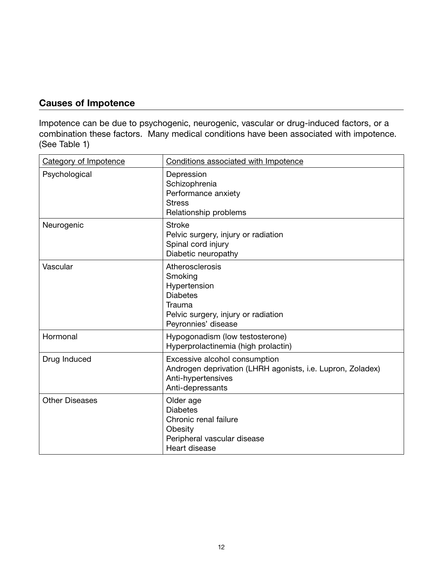# **Causes of Impotence**

Impotence can be due to psychogenic, neurogenic, vascular or drug-induced factors, or a combination these factors. Many medical conditions have been associated with impotence. (See Table 1)

| Category of Impotence | Conditions associated with Impotence                                                                                                  |
|-----------------------|---------------------------------------------------------------------------------------------------------------------------------------|
| Psychological         | Depression<br>Schizophrenia<br>Performance anxiety<br><b>Stress</b><br>Relationship problems                                          |
| Neurogenic            | <b>Stroke</b><br>Pelvic surgery, injury or radiation<br>Spinal cord injury<br>Diabetic neuropathy                                     |
| Vascular              | Atherosclerosis<br>Smoking<br>Hypertension<br><b>Diabetes</b><br>Trauma<br>Pelvic surgery, injury or radiation<br>Peyronnies' disease |
| Hormonal              | Hypogonadism (low testosterone)<br>Hyperprolactinemia (high prolactin)                                                                |
| Drug Induced          | Excessive alcohol consumption<br>Androgen deprivation (LHRH agonists, i.e. Lupron, Zoladex)<br>Anti-hypertensives<br>Anti-depressants |
| <b>Other Diseases</b> | Older age<br><b>Diabetes</b><br>Chronic renal failure<br>Obesity<br>Peripheral vascular disease<br>Heart disease                      |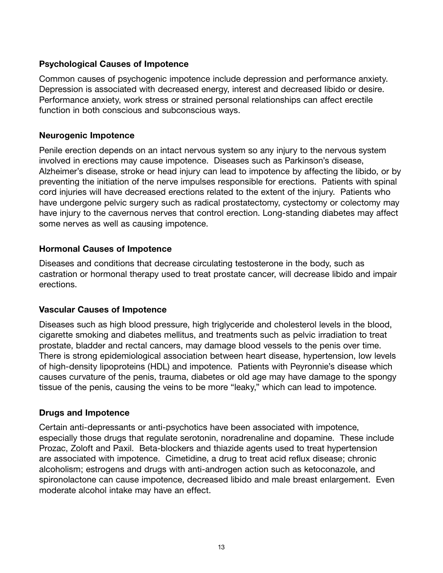#### **Psychological Causes of Impotence**

Common causes of psychogenic impotence include depression and performance anxiety. Depression is associated with decreased energy, interest and decreased libido or desire. Performance anxiety, work stress or strained personal relationships can affect erectile function in both conscious and subconscious ways.

#### **Neurogenic Impotence**

Penile erection depends on an intact nervous system so any injury to the nervous system involved in erections may cause impotence. Diseases such as Parkinson's disease, Alzheimer's disease, stroke or head injury can lead to impotence by affecting the libido, or by preventing the initiation of the nerve impulses responsible for erections. Patients with spinal cord injuries will have decreased erections related to the extent of the injury. Patients who have undergone pelvic surgery such as radical prostatectomy, cystectomy or colectomy may have injury to the cavernous nerves that control erection. Long-standing diabetes may affect some nerves as well as causing impotence.

# **Hormonal Causes of Impotence**

Diseases and conditions that decrease circulating testosterone in the body, such as castration or hormonal therapy used to treat prostate cancer, will decrease libido and impair erections.

#### **Vascular Causes of Impotence**

Diseases such as high blood pressure, high triglyceride and cholesterol levels in the blood, cigarette smoking and diabetes mellitus, and treatments such as pelvic irradiation to treat prostate, bladder and rectal cancers, may damage blood vessels to the penis over time. There is strong epidemiological association between heart disease, hypertension, low levels of high-density lipoproteins (HDL) and impotence. Patients with Peyronnie's disease which causes curvature of the penis, trauma, diabetes or old age may have damage to the spongy tissue of the penis, causing the veins to be more "leaky," which can lead to impotence.

#### **Drugs and Impotence**

Certain anti-depressants or anti-psychotics have been associated with impotence, especially those drugs that regulate serotonin, noradrenaline and dopamine. These include Prozac, Zoloft and Paxil. Beta-blockers and thiazide agents used to treat hypertension are associated with impotence. Cimetidine, a drug to treat acid reflux disease; chronic alcoholism; estrogens and drugs with anti-androgen action such as ketoconazole, and spironolactone can cause impotence, decreased libido and male breast enlargement. Even moderate alcohol intake may have an effect.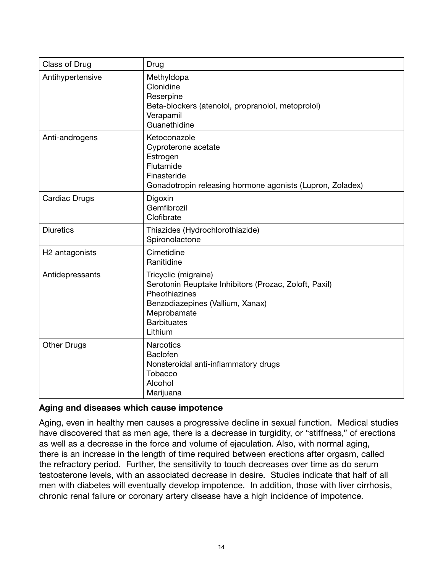| Class of Drug              | Drug                                                                                                                                                                               |
|----------------------------|------------------------------------------------------------------------------------------------------------------------------------------------------------------------------------|
| Antihypertensive           | Methyldopa<br>Clonidine<br>Reserpine<br>Beta-blockers (atenolol, propranolol, metoprolol)<br>Verapamil<br>Guanethidine                                                             |
| Anti-androgens             | Ketoconazole<br>Cyproterone acetate<br>Estrogen<br>Flutamide<br>Finasteride<br>Gonadotropin releasing hormone agonists (Lupron, Zoladex)                                           |
| Cardiac Drugs              | Digoxin<br>Gemfibrozil<br>Clofibrate                                                                                                                                               |
| <b>Diuretics</b>           | Thiazides (Hydrochlorothiazide)<br>Spironolactone                                                                                                                                  |
| H <sub>2</sub> antagonists | Cimetidine<br>Ranitidine                                                                                                                                                           |
| Antidepressants            | Tricyclic (migraine)<br>Serotonin Reuptake Inhibitors (Prozac, Zoloft, Paxil)<br>Pheothiazines<br>Benzodiazepines (Vallium, Xanax)<br>Meprobamate<br><b>Barbituates</b><br>Lithium |
| <b>Other Drugs</b>         | <b>Narcotics</b><br>Baclofen<br>Nonsteroidal anti-inflammatory drugs<br>Tobacco<br>Alcohol<br>Marijuana                                                                            |

#### **Aging and diseases which cause impotence**

Aging, even in healthy men causes a progressive decline in sexual function. Medical studies have discovered that as men age, there is a decrease in turgidity, or "stiffness," of erections as well as a decrease in the force and volume of ejaculation. Also, with normal aging, there is an increase in the length of time required between erections after orgasm, called the refractory period. Further, the sensitivity to touch decreases over time as do serum testosterone levels, with an associated decrease in desire. Studies indicate that half of all men with diabetes will eventually develop impotence. In addition, those with liver cirrhosis, chronic renal failure or coronary artery disease have a high incidence of impotence.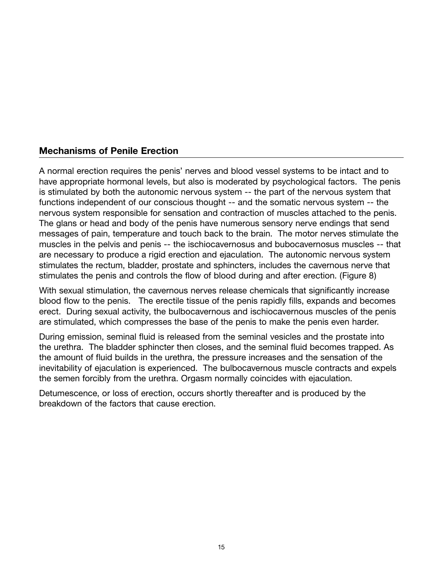# **Mechanisms of Penile Erection**

A normal erection requires the penis' nerves and blood vessel systems to be intact and to have appropriate hormonal levels, but also is moderated by psychological factors. The penis is stimulated by both the autonomic nervous system -- the part of the nervous system that functions independent of our conscious thought -- and the somatic nervous system -- the nervous system responsible for sensation and contraction of muscles attached to the penis. The glans or head and body of the penis have numerous sensory nerve endings that send messages of pain, temperature and touch back to the brain. The motor nerves stimulate the muscles in the pelvis and penis -- the ischiocavernosus and bubocavernosus muscles -- that are necessary to produce a rigid erection and ejaculation. The autonomic nervous system stimulates the rectum, bladder, prostate and sphincters, includes the cavernous nerve that stimulates the penis and controls the flow of blood during and after erection. (Figure 8)

With sexual stimulation, the cavernous nerves release chemicals that significantly increase blood flow to the penis. The erectile tissue of the penis rapidly fills, expands and becomes erect. During sexual activity, the bulbocavernous and ischiocavernous muscles of the penis are stimulated, which compresses the base of the penis to make the penis even harder.

During emission, seminal fluid is released from the seminal vesicles and the prostate into the urethra. The bladder sphincter then closes, and the seminal fluid becomes trapped. As the amount of fluid builds in the urethra, the pressure increases and the sensation of the inevitability of ejaculation is experienced. The bulbocavernous muscle contracts and expels the semen forcibly from the urethra. Orgasm normally coincides with ejaculation.

Detumescence, or loss of erection, occurs shortly thereafter and is produced by the breakdown of the factors that cause erection.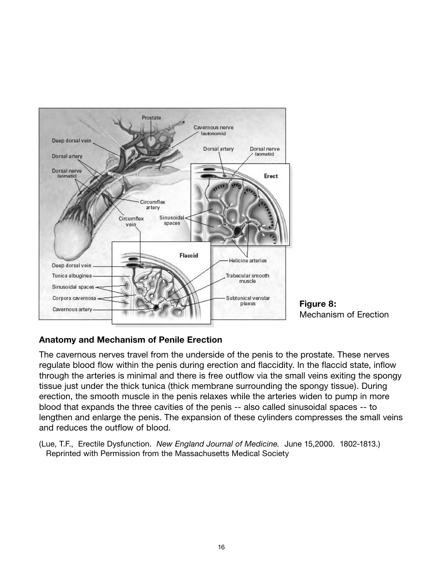

Mechanism of Erection

# **Anatomy and Mechanism of Penile Erection**

The cavernous nerves travel from the underside of the penis to the prostate. These nerves regulate blood flow within the penis during erection and flaccidity. In the flaccid state, inflow through the arteries is minimal and there is free outflow via the small veins exiting the spongy tissue just under the thick tunica (thick membrane surrounding the spongy tissue). During erection, the smooth muscle in the penis relaxes while the arteries widen to pump in more blood that expands the three cavities of the penis -- also called sinusoidal spaces -- to lengthen and enlarge the penis. The expansion of these cylinders compresses the small veins and reduces the outflow of blood.

(Lue, T.F., Erectile Dysfunction. *New England Journal of Medicine.* June 15,2000. 1802-1813.) Reprinted with Permission from the Massachusetts Medical Society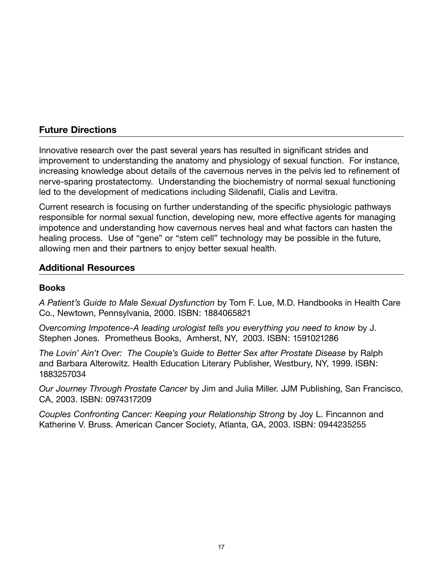# **Future Directions**

Innovative research over the past several years has resulted in significant strides and improvement to understanding the anatomy and physiology of sexual function. For instance, increasing knowledge about details of the cavernous nerves in the pelvis led to refinement of nerve-sparing prostatectomy. Understanding the biochemistry of normal sexual functioning led to the development of medications including Sildenafil, Cialis and Levitra.

Current research is focusing on further understanding of the specific physiologic pathways responsible for normal sexual function, developing new, more effective agents for managing impotence and understanding how cavernous nerves heal and what factors can hasten the healing process. Use of "gene" or "stem cell" technology may be possible in the future, allowing men and their partners to enjoy better sexual health.

# **Additional Resources**

### **Books**

*A Patient's Guide to Male Sexual Dysfunction* by Tom F. Lue, M.D. Handbooks in Health Care Co., Newtown, Pennsylvania, 2000. ISBN: 1884065821

*Overcoming Impotence-A leading urologist tells you everything you need to know* by J. Stephen Jones. Prometheus Books, Amherst, NY, 2003. ISBN: 1591021286

*The Lovin' Ain't Over: The Couple's Guide to Better Sex after Prostate Disease* by Ralph and Barbara Alterowitz. Health Education Literary Publisher, Westbury, NY, 1999. ISBN: 1883257034

*Our Journey Through Prostate Cancer* by Jim and Julia Miller. JJM Publishing, San Francisco, CA, 2003. ISBN: 0974317209

*Couples Confronting Cancer: Keeping your Relationship Strong* by Joy L. Fincannon and Katherine V. Bruss. American Cancer Society, Atlanta, GA, 2003. ISBN: 0944235255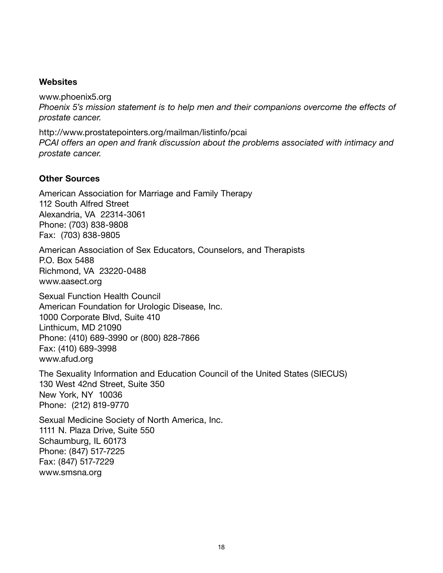#### **Websites**

www.phoenix5.org *Phoenix 5's mission statement is to help men and their companions overcome the effects of prostate cancer.*

http://www.prostatepointers.org/mailman/listinfo/pcai *PCAI offers an open and frank discussion about the problems associated with intimacy and prostate cancer.*

#### **Other Sources**

American Association for Marriage and Family Therapy 112 South Alfred Street Alexandria, VA 22314-3061 Phone: (703) 838-9808 Fax: (703) 838-9805

American Association of Sex Educators, Counselors, and Therapists P.O. Box 5488 Richmond, VA 23220-0488 www.aasect.org

Sexual Function Health Council American Foundation for Urologic Disease, Inc. 1000 Corporate Blvd, Suite 410 Linthicum, MD 21090 Phone: (410) 689-3990 or (800) 828-7866 Fax: (410) 689-3998 www.afud.org

The Sexuality Information and Education Council of the United States (SIECUS) 130 West 42nd Street, Suite 350 New York, NY 10036 Phone: (212) 819-9770

Sexual Medicine Society of North America, Inc. 1111 N. Plaza Drive, Suite 550 Schaumburg, IL 60173 Phone: (847) 517-7225 Fax: (847) 517-7229 www.smsna.org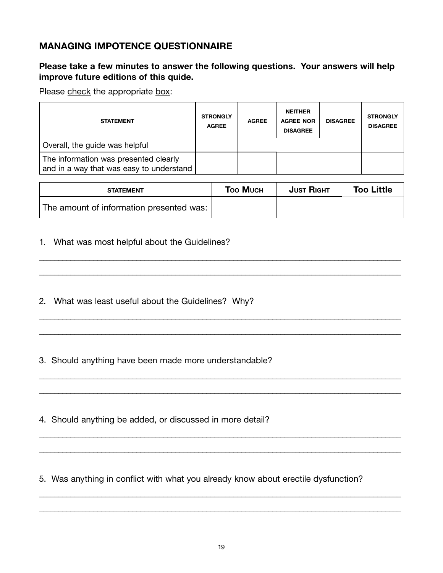# **MANAGING IMPOTENCE QUESTIONNAIRE**

#### **Please take a few minutes to answer the following questions. Your answers will help improve future editions of this quide.**

Please check the appropriate box:

| <b>STATEMENT</b>                                                                  | <b>STRONGLY</b><br><b>AGREE</b> | <b>AGREE</b> | <b>NEITHER</b><br><b>AGREE NOR</b><br><b>DISAGREE</b> | <b>DISAGREE</b> | <b>STRONGLY</b><br><b>DISAGREE</b> |
|-----------------------------------------------------------------------------------|---------------------------------|--------------|-------------------------------------------------------|-----------------|------------------------------------|
| Overall, the guide was helpful                                                    |                                 |              |                                                       |                 |                                    |
| The information was presented clearly<br>and in a way that was easy to understand |                                 |              |                                                       |                 |                                    |

| <b>STATEMENT</b>                         | <b>Too Much</b> | <b>JUST RIGHT</b> | <b>Too Little</b> |
|------------------------------------------|-----------------|-------------------|-------------------|
| The amount of information presented was: |                 |                   |                   |

\_\_\_\_\_\_\_\_\_\_\_\_\_\_\_\_\_\_\_\_\_\_\_\_\_\_\_\_\_\_\_\_\_\_\_\_\_\_\_\_\_\_\_\_\_\_\_\_\_\_\_\_\_\_\_\_\_\_\_\_\_\_\_\_\_\_\_\_\_\_\_\_\_\_\_\_\_\_\_\_\_\_\_\_\_\_\_\_\_\_\_\_\_

\_\_\_\_\_\_\_\_\_\_\_\_\_\_\_\_\_\_\_\_\_\_\_\_\_\_\_\_\_\_\_\_\_\_\_\_\_\_\_\_\_\_\_\_\_\_\_\_\_\_\_\_\_\_\_\_\_\_\_\_\_\_\_\_\_\_\_\_\_\_\_\_\_\_\_\_\_\_\_\_\_\_\_\_\_\_\_\_\_\_\_\_\_

\_\_\_\_\_\_\_\_\_\_\_\_\_\_\_\_\_\_\_\_\_\_\_\_\_\_\_\_\_\_\_\_\_\_\_\_\_\_\_\_\_\_\_\_\_\_\_\_\_\_\_\_\_\_\_\_\_\_\_\_\_\_\_\_\_\_\_\_\_\_\_\_\_\_\_\_\_\_\_\_\_\_\_\_\_\_\_\_\_\_\_\_\_

\_\_\_\_\_\_\_\_\_\_\_\_\_\_\_\_\_\_\_\_\_\_\_\_\_\_\_\_\_\_\_\_\_\_\_\_\_\_\_\_\_\_\_\_\_\_\_\_\_\_\_\_\_\_\_\_\_\_\_\_\_\_\_\_\_\_\_\_\_\_\_\_\_\_\_\_\_\_\_\_\_\_\_\_\_\_\_\_\_\_\_\_\_

\_\_\_\_\_\_\_\_\_\_\_\_\_\_\_\_\_\_\_\_\_\_\_\_\_\_\_\_\_\_\_\_\_\_\_\_\_\_\_\_\_\_\_\_\_\_\_\_\_\_\_\_\_\_\_\_\_\_\_\_\_\_\_\_\_\_\_\_\_\_\_\_\_\_\_\_\_\_\_\_\_\_\_\_\_\_\_\_\_\_\_\_\_

\_\_\_\_\_\_\_\_\_\_\_\_\_\_\_\_\_\_\_\_\_\_\_\_\_\_\_\_\_\_\_\_\_\_\_\_\_\_\_\_\_\_\_\_\_\_\_\_\_\_\_\_\_\_\_\_\_\_\_\_\_\_\_\_\_\_\_\_\_\_\_\_\_\_\_\_\_\_\_\_\_\_\_\_\_\_\_\_\_\_\_\_\_

\_\_\_\_\_\_\_\_\_\_\_\_\_\_\_\_\_\_\_\_\_\_\_\_\_\_\_\_\_\_\_\_\_\_\_\_\_\_\_\_\_\_\_\_\_\_\_\_\_\_\_\_\_\_\_\_\_\_\_\_\_\_\_\_\_\_\_\_\_\_\_\_\_\_\_\_\_\_\_\_\_\_\_\_\_\_\_\_\_\_\_\_\_

\_\_\_\_\_\_\_\_\_\_\_\_\_\_\_\_\_\_\_\_\_\_\_\_\_\_\_\_\_\_\_\_\_\_\_\_\_\_\_\_\_\_\_\_\_\_\_\_\_\_\_\_\_\_\_\_\_\_\_\_\_\_\_\_\_\_\_\_\_\_\_\_\_\_\_\_\_\_\_\_\_\_\_\_\_\_\_\_\_\_\_\_\_

\_\_\_\_\_\_\_\_\_\_\_\_\_\_\_\_\_\_\_\_\_\_\_\_\_\_\_\_\_\_\_\_\_\_\_\_\_\_\_\_\_\_\_\_\_\_\_\_\_\_\_\_\_\_\_\_\_\_\_\_\_\_\_\_\_\_\_\_\_\_\_\_\_\_\_\_\_\_\_\_\_\_\_\_\_\_\_\_\_\_\_\_\_

\_\_\_\_\_\_\_\_\_\_\_\_\_\_\_\_\_\_\_\_\_\_\_\_\_\_\_\_\_\_\_\_\_\_\_\_\_\_\_\_\_\_\_\_\_\_\_\_\_\_\_\_\_\_\_\_\_\_\_\_\_\_\_\_\_\_\_\_\_\_\_\_\_\_\_\_\_\_\_\_\_\_\_\_\_\_\_\_\_\_\_\_\_

1. What was most helpful about the Guidelines?

- 2. What was least useful about the Guidelines? Why?
- 3. Should anything have been made more understandable?
- 4. Should anything be added, or discussed in more detail?

5. Was anything in conflict with what you already know about erectile dysfunction?